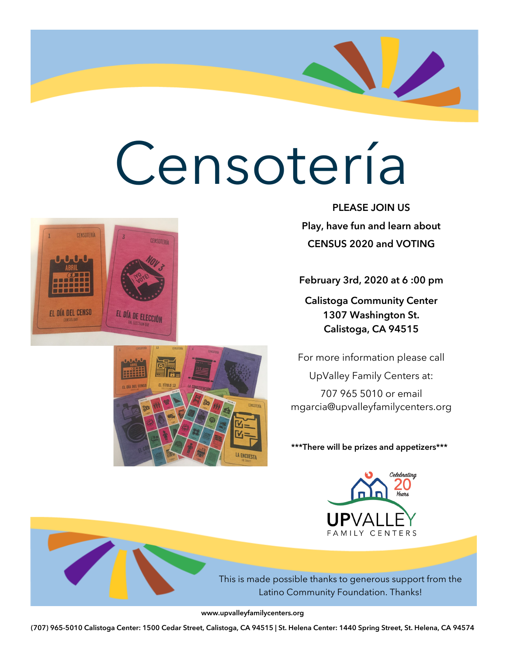

У.,

February 3rd, 2020 at 6 :00 pm

Calistoga Community Center 1307 Washington St. Calistoga, CA 94515

For more information please call UpValley Family Centers at: 707 965 5010 or email mgarcia@upvalleyfamilycenters.org

\*\*\*There will be prizes and appetizers\*\*\*



This is made possible thanks to generous support from the Latino Community Foundation. Thanks!

www.upvalleyfamilycenters.org



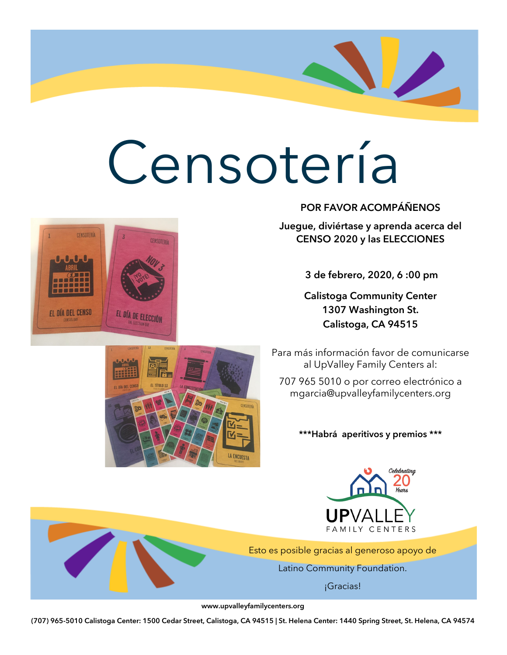



#### POR FAVOR ACOMPÁÑENOS

Juegue, diviértase y aprenda acerca del CENSO 2020 y las ELECCIONES

3 de febrero, 2020, 6 :00 pm

Calistoga Community Center 1307 Washington St. Calistoga, CA 94515

Para más información favor de comunicarse al UpValley Family Centers al:

707 965 5010 o por correo electrónico a mgarcia@upvalleyfamilycenters.org

\*\*\*Habrá aperitivos y premios \*\*\*



Esto es posible gracias al generoso apoyo de

Latino Community Foundation.

¡Gracias!

www.upvalleyfamilycenters.org

LA ENCUESTA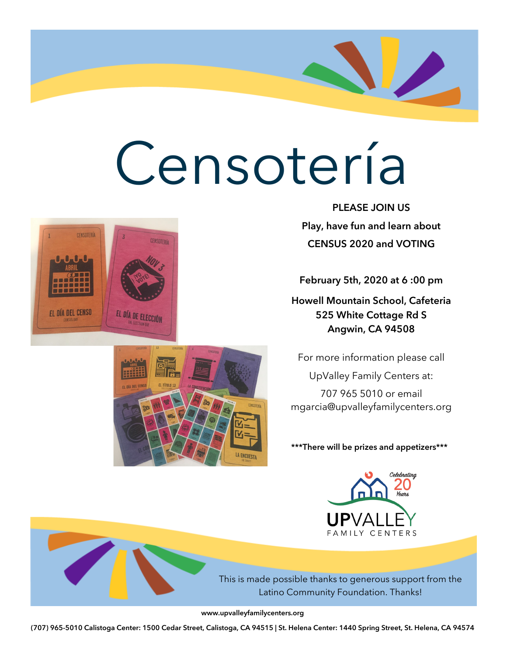

February 5th, 2020 at 6 :00 pm

Howell Mountain School, Cafeteria 525 White Cottage Rd S Angwin, CA 94508

For more information please call

UpValley Family Centers at: 707 965 5010 or email mgarcia@upvalleyfamilycenters.org

\*\*\*There will be prizes and appetizers\*\*\*



This is made possible thanks to generous support from the Latino Community Foundation. Thanks!

www.upvalleyfamilycenters.org



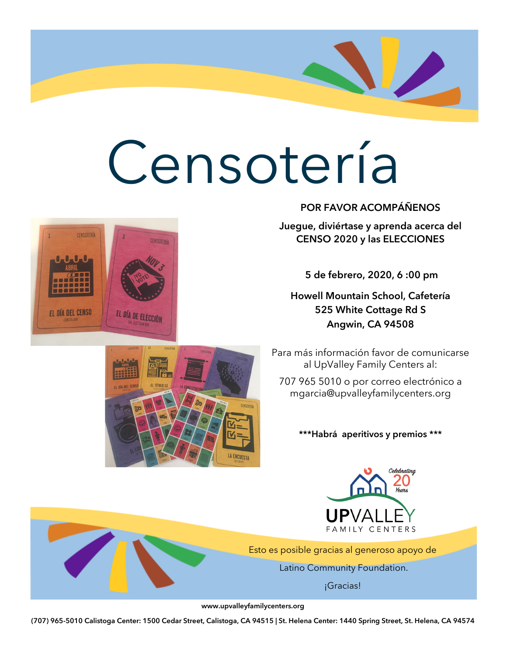



POR FAVOR ACOMPÁÑENOS

Juegue, diviértase y aprenda acerca del CENSO 2020 y las ELECCIONES

5 de febrero, 2020, 6 :00 pm

Howell Mountain School, Cafetería 525 White Cottage Rd S Angwin, CA 94508

Para más información favor de comunicarse al UpValley Family Centers al:

707 965 5010 o por correo electrónico a mgarcia@upvalleyfamilycenters.org

\*\*\*Habrá aperitivos y premios \*\*\*



Esto es posible gracias al generoso apoyo de

Latino Community Foundation.

¡Gracias!

www.upvalleyfamilycenters.org

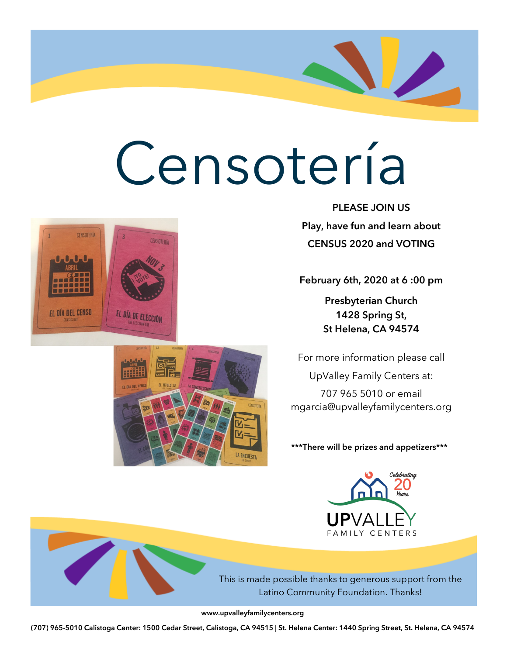PLEASE JOIN US Play, have fun and learn about CENSUS 2020 and VOTING

У.,

February 6th, 2020 at 6 :00 pm

Presbyterian Church 1428 Spring St, St Helena, CA 94574

For more information please call UpValley Family Centers at: 707 965 5010 or email mgarcia@upvalleyfamilycenters.org

\*\*\*There will be prizes and appetizers\*\*\*



This is made possible thanks to generous support from the Latino Community Foundation. Thanks!

www.upvalleyfamilycenters.org